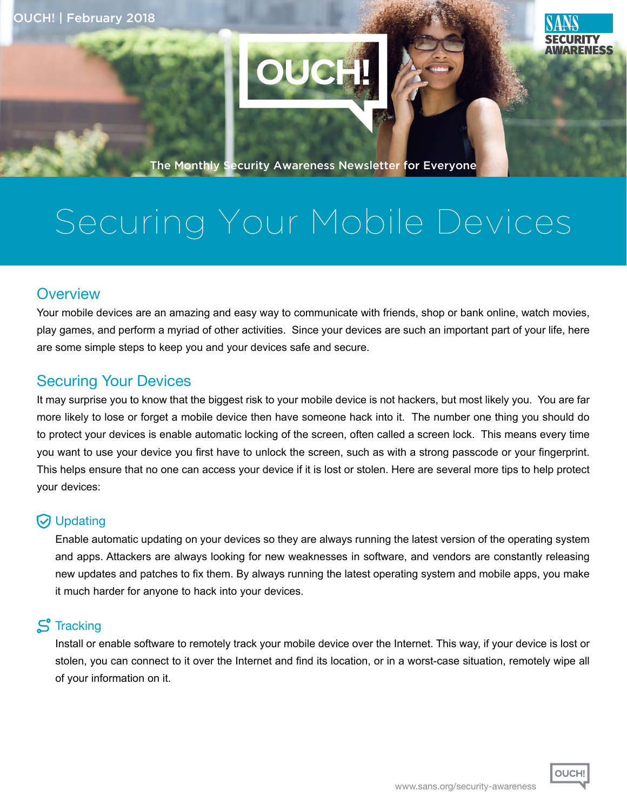

The Monthly Security Awareness Newsletter for Everyone

# Securing Your Mobile Devices

# **Overview**

Your mobile devices are an amazing and easy way to communicate with friends, shop or bank online, watch movies, play games, and perform a myriad of other activities. Since your devices are such an important part of your life, here are some simple steps to keep you and your devices safe and secure.

# **Securing Your Devices**

It may surprise you to know that the biggest risk to your mobile device is not hackers, but most likely you. You are far more likely to lose or forget a mobile device then have someone hack into it. The number one thing you should do to protect your devices is enable automatic locking of the screen, often called a screen lock. This means every time you want to use your device you first have to unlock the screen, such as with a strong passcode or your fingerprint. This helps ensure that no one can access your device if it is lost or stolen. Here are several more tips to help protect your devices:

## **V** Updating

Enable automatic updating on your devices so they are always running the latest version of the operating system and apps. Attackers are always looking for new weaknesses in software, and vendors are constantly releasing new updates and patches to fix them. By always running the latest operating system and mobile apps, you make it much harder for anyone to hack into your devices.

#### $S$  Tracking

Install or enable software to remotely track your mobile device over the Internet. This way, if your device is lost or stolen, you can connect to it over the Internet and find its location, or in a worst-case situation, remotely wipe all of your information on it.